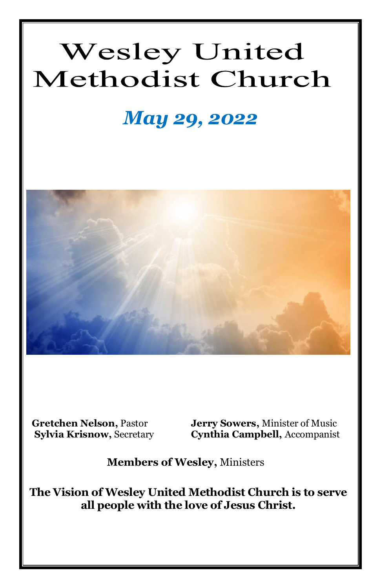# **Wesley United** Methodist Church

## *May 29, 2022*



**Gretchen Nelson, Pastor** *Jerry Sowers***, Minister of Music<br>
Sylvia Krisnow, Secretary Cynthia Campbell, Accompanist Cynthia Campbell, Accompanist** 

**Members of Wesley,** Ministers

**The Vision of Wesley United Methodist Church is to serve all people with the love of Jesus Christ.**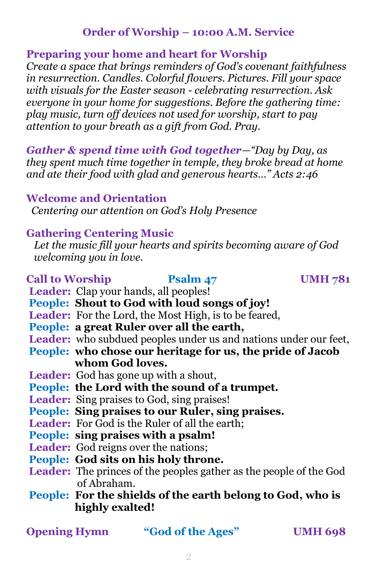#### **Order of Worship – 10:00 A.M. Service**

#### **Preparing your home and heart for Worship**

*Create a space that brings reminders of God's covenant faithfulness in resurrection. Candles. Colorful flowers. Pictures. Fill your space with visuals for the Easter season - celebrating resurrection. Ask everyone in your home for suggestions. Before the gathering time: play music, turn off devices not used for worship, start to pay attention to your breath as a gift from God. Pray.*

*Gather & spend time with God together—"Day by Day, as they spent much time together in temple, they broke bread at home and ate their food with glad and generous hearts…" Acts 2:46*

#### **Welcome and Orientation**

*Centering our attention on God's Holy Presence*

#### **Gathering Centering Music**

 *Let the music fill your hearts and spirits becoming aware of God welcoming you in love.*

#### Call to Worship **Psalm 47** UMH 781

- Leader: Clap your hands, all peoples!
- **People: Shout to God with loud songs of joy!**
- Leader: For the Lord, the Most High, is to be feared,
- **People: a great Ruler over all the earth,**
- Leader: who subdued peoples under us and nations under our feet,
- **People: who chose our heritage for us, the pride of Jacob whom God loves.**
- **Leader:** God has gone up with a shout,
- **People: the Lord with the sound of a trumpet.**
- **Leader:** Sing praises to God, sing praises!
- **People: Sing praises to our Ruler, sing praises.**
- **Leader:** For God is the Ruler of all the earth;
- **People: sing praises with a psalm!**
- **Leader:** God reigns over the nations;
- **People: God sits on his holy throne.**
- **Leader:** The princes of the peoples gather as the people of the God of Abraham.
- **People: For the shields of the earth belong to God, who is highly exalted!**

**Opening Hymn "God of the Ages" UMH 698**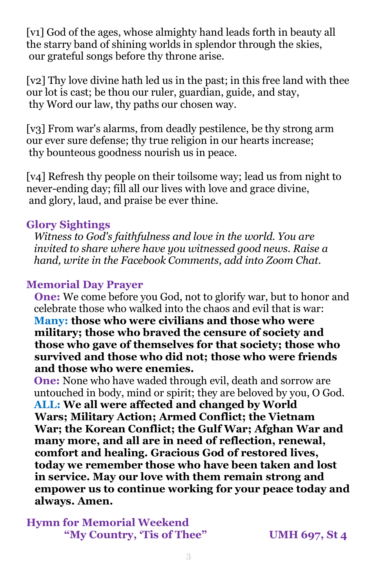[v1] God of the ages, whose almighty hand leads forth in beauty all the starry band of shining worlds in splendor through the skies, our grateful songs before thy throne arise.

[v2] Thy love divine hath led us in the past; in this free land with thee our lot is cast; be thou our ruler, guardian, guide, and stay, thy Word our law, thy paths our chosen way.

[v3] From war's alarms, from deadly pestilence, be thy strong arm our ever sure defense; thy true religion in our hearts increase; thy bounteous goodness nourish us in peace.

[v4] Refresh thy people on their toilsome way; lead us from night to never-ending day; fill all our lives with love and grace divine, and glory, laud, and praise be ever thine.

#### **Glory Sightings**

 *Witness to God's faithfulness and love in the world. You are invited to share where have you witnessed good news. Raise a hand, write in the Facebook Comments, add into Zoom Chat.*

#### **Memorial Day Prayer**

 **One:** We come before you God, not to glorify war, but to honor and celebrate those who walked into the chaos and evil that is war: **Many: those who were civilians and those who were military; those who braved the censure of society and those who gave of themselves for that society; those who survived and those who did not; those who were friends and those who were enemies.**

 **One:** None who have waded through evil, death and sorrow are untouched in body, mind or spirit; they are beloved by you, O God. **ALL: We all were affected and changed by World Wars; Military Action; Armed Conflict; the Vietnam War; the Korean Conflict; the Gulf War; Afghan War and many more, and all are in need of reflection, renewal, comfort and healing. Gracious God of restored lives, today we remember those who have been taken and lost in service. May our love with them remain strong and empower us to continue working for your peace today and always. Amen.**

**Hymn for Memorial Weekend "My Country, 'Tis of Thee" UMH 697, St 4**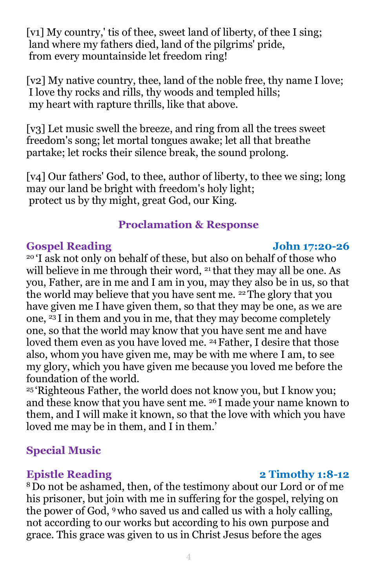[v1] My country,' tis of thee, sweet land of liberty, of thee I sing; land where my fathers died, land of the pilgrims' pride, from every mountainside let freedom ring!

[v2] My native country, thee, land of the noble free, thy name I love; I love thy rocks and rills, thy woods and templed hills; my heart with rapture thrills, like that above.

[v3] Let music swell the breeze, and ring from all the trees sweet freedom's song; let mortal tongues awake; let all that breathe partake; let rocks their silence break, the sound prolong.

[v4] Our fathers' God, to thee, author of liberty, to thee we sing; long may our land be bright with freedom's holy light; protect us by thy might, great God, our King.

#### **Proclamation & Response**

#### **Gospel Reading John 17:20-26**

<sup>20</sup> 'I ask not only on behalf of these, but also on behalf of those who will believe in me through their word, <sup>21</sup> that they may all be one. As you, Father, are in me and I am in you, may they also be in us, so that the world may believe that you have sent me. 22The glory that you have given me I have given them, so that they may be one, as we are one,  $^{23}$ I in them and you in me, that they may become completely one, so that the world may know that you have sent me and have loved them even as you have loved me. 24Father, I desire that those also, whom you have given me, may be with me where I am, to see my glory, which you have given me because you loved me before the foundation of the world.

<sup>25</sup> 'Righteous Father, the world does not know you, but I know you; and these know that you have sent me. <sup>26</sup> I made your name known to them, and I will make it known, so that the love with which you have loved me may be in them, and I in them.'

#### **Special Music**

<sup>8</sup>Do not be ashamed, then, of the testimony about our Lord or of me his prisoner, but join with me in suffering for the gospel, relying on the power of God, 9who saved us and called us with a holy calling, not according to our works but according to his own purpose and grace. This grace was given to us in Christ Jesus before the ages

#### **Epistle** Reading 2 Timothy 1:8-12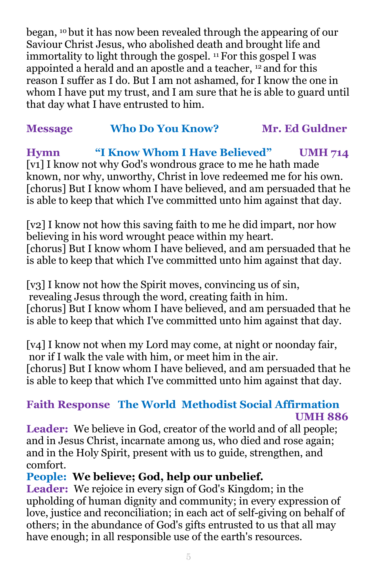began, <sup>10</sup> but it has now been revealed through the appearing of our Saviour Christ Jesus, who abolished death and brought life and immortality to light through the gospel. <sup>11</sup> For this gospel I was appointed a herald and an apostle and a teacher, <sup>12</sup> and for this reason I suffer as I do. But I am not ashamed, for I know the one in whom I have put my trust, and I am sure that he is able to guard until that day what I have entrusted to him.

### **Message Who Do You Know? Mr. Ed Guldner**

**Hymn "I Know Whom I Have Believed" UMH 714** [v1] I know not why God's wondrous grace to me he hath made known, nor why, unworthy, Christ in love redeemed me for his own. [chorus] But I know whom I have believed, and am persuaded that he is able to keep that which I've committed unto him against that day.

[v2] I know not how this saving faith to me he did impart, nor how believing in his word wrought peace within my heart. [chorus] But I know whom I have believed, and am persuaded that he is able to keep that which I've committed unto him against that day.

[v3] I know not how the Spirit moves, convincing us of sin, revealing Jesus through the word, creating faith in him. [chorus] But I know whom I have believed, and am persuaded that he is able to keep that which I've committed unto him against that day.

[v4] I know not when my Lord may come, at night or noonday fair, nor if I walk the vale with him, or meet him in the air. [chorus] But I know whom I have believed, and am persuaded that he is able to keep that which I've committed unto him against that day.

#### **Faith Response The World Methodist Social Affirmation UMH 886**

Leader: We believe in God, creator of the world and of all people; and in Jesus Christ, incarnate among us, who died and rose again; and in the Holy Spirit, present with us to guide, strengthen, and comfort.

### **People: We believe; God, help our unbelief.**

**Leader:** We rejoice in every sign of God's Kingdom; in the upholding of human dignity and community; in every expression of love, justice and reconciliation; in each act of self-giving on behalf of others; in the abundance of God's gifts entrusted to us that all may have enough; in all responsible use of the earth's resources.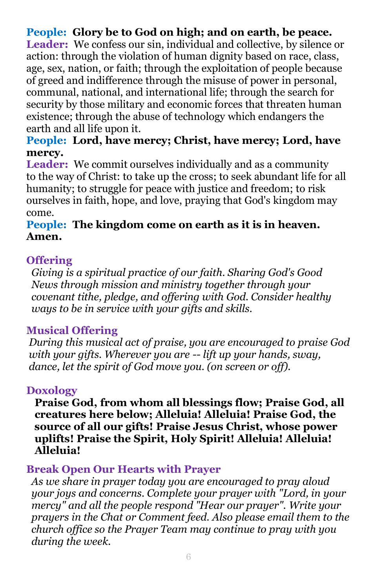### **People: Glory be to God on high; and on earth, be peace.**

Leader: We confess our sin, individual and collective, by silence or action: through the violation of human dignity based on race, class, age, sex, nation, or faith; through the exploitation of people because of greed and indifference through the misuse of power in personal, communal, national, and international life; through the search for security by those military and economic forces that threaten human existence; through the abuse of technology which endangers the earth and all life upon it.

#### **People: Lord, have mercy; Christ, have mercy; Lord, have mercy.**

**Leader:** We commit ourselves individually and as a community to the way of Christ: to take up the cross; to seek abundant life for all humanity; to struggle for peace with justice and freedom; to risk ourselves in faith, hope, and love, praying that God's kingdom may come.

#### **People: The kingdom come on earth as it is in heaven. Amen.**

#### **Offering**

 *Giving is a spiritual practice of our faith. Sharing God's Good News through mission and ministry together through your covenant tithe, pledge, and offering with God. Consider healthy ways to be in service with your gifts and skills.*

#### **Musical Offering**

*During this musical act of praise, you are encouraged to praise God with your gifts. Wherever you are -- lift up your hands, sway, dance, let the spirit of God move you. (on screen or off).*

#### **Doxology**

 **Praise God, from whom all blessings flow; Praise God, all creatures here below; Alleluia! Alleluia! Praise God, the source of all our gifts! Praise Jesus Christ, whose power uplifts! Praise the Spirit, Holy Spirit! Alleluia! Alleluia! Alleluia!**

#### **Break Open Our Hearts with Prayer**

 *As we share in prayer today you are encouraged to pray aloud your joys and concerns. Complete your prayer with "Lord, in your mercy" and all the people respond "Hear our prayer". Write your prayers in the Chat or Comment feed. Also please email them to the church office so the Prayer Team may continue to pray with you during the week.*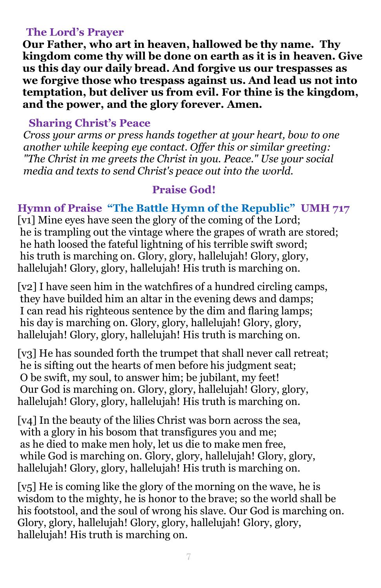#### **The Lord's Prayer**

**Our Father, who art in heaven, hallowed be thy name. Thy kingdom come thy will be done on earth as it is in heaven. Give us this day our daily bread. And forgive us our trespasses as we forgive those who trespass against us. And lead us not into temptation, but deliver us from evil. For thine is the kingdom, and the power, and the glory forever. Amen.**

#### **Sharing Christ's Peace**

 *Cross your arms or press hands together at your heart, bow to one another while keeping eye contact. Offer this or similar greeting: "The Christ in me greets the Christ in you. Peace." Use your social media and texts to send Christ's peace out into the world.*

#### **Praise God!**

#### **Hymn of Praise "The Battle Hymn of the Republic" UMH 717**

[v1] Mine eyes have seen the glory of the coming of the Lord; he is trampling out the vintage where the grapes of wrath are stored; he hath loosed the fateful lightning of his terrible swift sword; his truth is marching on. Glory, glory, hallelujah! Glory, glory, hallelujah! Glory, glory, hallelujah! His truth is marching on.

[v2] I have seen him in the watchfires of a hundred circling camps, they have builded him an altar in the evening dews and damps; I can read his righteous sentence by the dim and flaring lamps; his day is marching on. Glory, glory, hallelujah! Glory, glory, hallelujah! Glory, glory, hallelujah! His truth is marching on.

[v<sub>3</sub>] He has sounded forth the trumpet that shall never call retreat; he is sifting out the hearts of men before his judgment seat; O be swift, my soul, to answer him; be jubilant, my feet! Our God is marching on. Glory, glory, hallelujah! Glory, glory, hallelujah! Glory, glory, hallelujah! His truth is marching on.

[v4] In the beauty of the lilies Christ was born across the sea, with a glory in his bosom that transfigures you and me; as he died to make men holy, let us die to make men free, while God is marching on. Glory, glory, hallelujah! Glory, glory, hallelujah! Glory, glory, hallelujah! His truth is marching on.

[v5] He is coming like the glory of the morning on the wave, he is wisdom to the mighty, he is honor to the brave; so the world shall be his footstool, and the soul of wrong his slave. Our God is marching on. Glory, glory, hallelujah! Glory, glory, hallelujah! Glory, glory, hallelujah! His truth is marching on.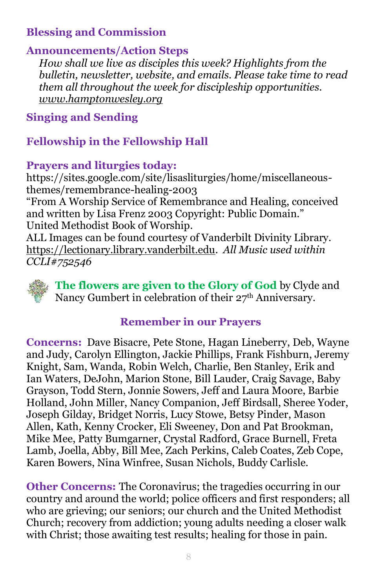## **Blessing and Commission**

#### **Announcements/Action Steps**

 *How shall we live as disciples this week? Highlights from the bulletin, newsletter, website, and emails. Please take time to read them all throughout the week for discipleship opportunities. [www.hamptonwesley.org](about:blank)*

**Singing and Sending**

### **Fellowship in the Fellowship Hall**

#### **Prayers and liturgies today:**

https://sites.google.com/site/lisasliturgies/home/miscellaneousthemes/remembrance-healing-2003

"From A Worship Service of Remembrance and Healing, conceived and written by Lisa Frenz 2003 Copyright: Public Domain." United Methodist Book of Worship.

ALL Images can be found courtesy of Vanderbilt Divinity Library. [https://lectionary.library.vanderbilt.edu.](about:blank) *All Music used within CCLI#752546*



**The flowers are given to the Glory of God** by Clyde and Nancy Gumbert in celebration of their 27<sup>th</sup> Anniversary.

#### **Remember in our Prayers**

**Concerns:** Dave Bisacre, Pete Stone, Hagan Lineberry, Deb, Wayne and Judy, Carolyn Ellington, Jackie Phillips, Frank Fishburn, Jeremy Knight, Sam, Wanda, Robin Welch, Charlie, Ben Stanley, Erik and Ian Waters, DeJohn, Marion Stone, Bill Lauder, Craig Savage, Baby Grayson, Todd Stern, Jonnie Sowers, Jeff and Laura Moore, Barbie Holland, John Miller, Nancy Companion, Jeff Birdsall, Sheree Yoder, Joseph Gilday, Bridget Norris, Lucy Stowe, Betsy Pinder, Mason Allen, Kath, Kenny Crocker, Eli Sweeney, Don and Pat Brookman, Mike Mee, Patty Bumgarner, Crystal Radford, Grace Burnell, Freta Lamb, Joella, Abby, Bill Mee, Zach Perkins, Caleb Coates, Zeb Cope, Karen Bowers, Nina Winfree, Susan Nichols, Buddy Carlisle.

**Other Concerns:** The Coronavirus; the tragedies occurring in our country and around the world; police officers and first responders; all who are grieving; our seniors; our church and the United Methodist Church; recovery from addiction; young adults needing a closer walk with Christ; those awaiting test results; healing for those in pain.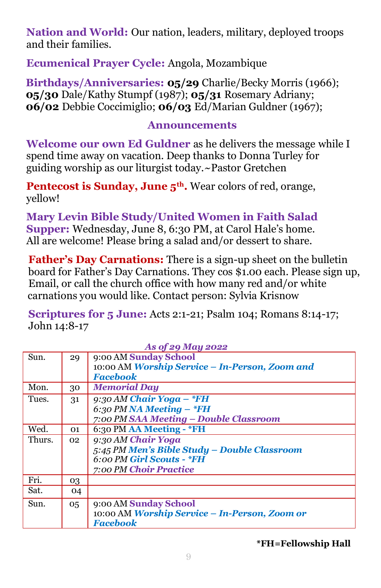**Nation and World:** Our nation, leaders, military, deployed troops and their families.

**Ecumenical Prayer Cycle:** Angola, Mozambique

 **Birthdays/Anniversaries: 05/29** Charlie/Becky Morris (1966);  **05/30** Dale/Kathy Stumpf (1987); **05/31** Rosemary Adriany;  **06/02** Debbie Coccimiglio; **06/03** Ed/Marian Guldner (1967);

#### **Announcements**

**Welcome our own Ed Guldner** as he delivers the message while I spend time away on vacation. Deep thanks to Donna Turley for guiding worship as our liturgist today.~Pastor Gretchen

**Pentecost is Sunday, June 5<sup>th</sup>.** Wear colors of red, orange, yellow!

**Mary Levin Bible Study/United Women in Faith Salad Supper:** Wednesday, June 8, 6:30 PM, at Carol Hale's home. All are welcome! Please bring a salad and/or dessert to share.

**Father's Day Carnations:** There is a sign-up sheet on the bulletin board for Father's Day Carnations. They cos \$1.00 each. Please sign up, Email, or call the church office with how many red and/or white carnations you would like. Contact person: Sylvia Krisnow

 **Scriptures for 5 June:** Acts 2:1-21; Psalm 104; Romans 8:14-17; John 14:8-17

| As of 29 May 2022 |                                                |  |  |  |
|-------------------|------------------------------------------------|--|--|--|
| 29                | 9:00 AM Sunday School                          |  |  |  |
|                   | 10:00 AM Worship Service - In-Person, Zoom and |  |  |  |
|                   | <b>Facebook</b>                                |  |  |  |
| 30                | <b>Memorial Day</b>                            |  |  |  |
| 31                | $9:30 AM$ Chair Yoga - *FH                     |  |  |  |
|                   | 6:30 PM NA Meeting $-$ *FH                     |  |  |  |
|                   | 7:00 PM SAA Meeting – Double Classroom         |  |  |  |
| 01                | 6:30 PM AA Meeting - *FH                       |  |  |  |
| 02 <sub>2</sub>   | 9:30 AM Chair Yoga                             |  |  |  |
|                   | 5:45 PM Men's Bible Study - Double Classroom   |  |  |  |
|                   | $6:00$ PM Girl Scouts - $*FH$                  |  |  |  |
|                   | 7:00 PM Choir Practice                         |  |  |  |
| 03                |                                                |  |  |  |
| 04                |                                                |  |  |  |
| 05                | 9:00 AM Sunday School                          |  |  |  |
|                   | 10:00 AM Worship Service – In-Person, Zoom or  |  |  |  |
|                   | <b>Facebook</b>                                |  |  |  |
|                   |                                                |  |  |  |

**\*FH=Fellowship Hall**